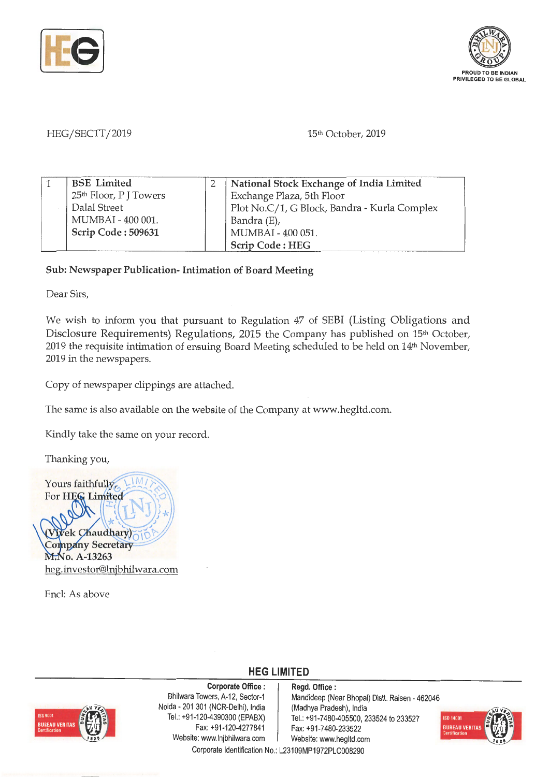



## HEG/SECTT/2019 15th October, 2019

| <b>BSE</b> Limited                 | National Stock Exchange of India Limited     |
|------------------------------------|----------------------------------------------|
| 25 <sup>th</sup> Floor, P J Towers | Exchange Plaza, 5th Floor                    |
| Dalal Street                       | Plot No.C/1, G Block, Bandra - Kurla Complex |
| MUMBAI - 400 001.                  | Bandra (E),                                  |
| Scrip Code: 509631                 | MUMBAI - 400 051.                            |
|                                    | <b>Scrip Code: HEG</b>                       |

## **Sub: Newspaper Publication- Intimation of Board Meeting**

Dear Sirs,

We wish to inform you that pursuant to Regulation 47 of SEBI (Listing Obligations and Disclosure Requirements) Regulations, 2015 the Company has published on 15<sup>th</sup> October, 2019 the requisite intimation of ensuing Board Meeting scheduled to be held on 14th November, 2019 in the newspapers.

Copy of newspaper clippings are attached.

The same is also available on the website of the Company at www.hegltd.com.

Kindly take the same on your record.

Thanking you,

Yours faithfully, For HEG Limited ek Chaudhary) **Company Secretary** M.No. A-13263 ~ .investor@lnjbhilwara.com

Encl: As above



**Corporate Office** : Bhilwara Towers, A-12, Sector-1 Naida· 201 301 (NCR-Delhi), India Tel.: +91 -120-4390300 (EPABX) Fax: +91 -120-4277841 Website: www.lnjbhilwara.com  $\blacksquare$  Website: www.hegltd.com

**Regd. Office** : Mandideep (Near Bhopal) Distt. Raisen - 462046 (Madhya Pradesh), India Tel.: +91 -7480-405500, 233524 to 233527 Fax: +91-7 480-233522



Corporate Identification No.: L23109MP1972PLC008290

**HEG LIMITED**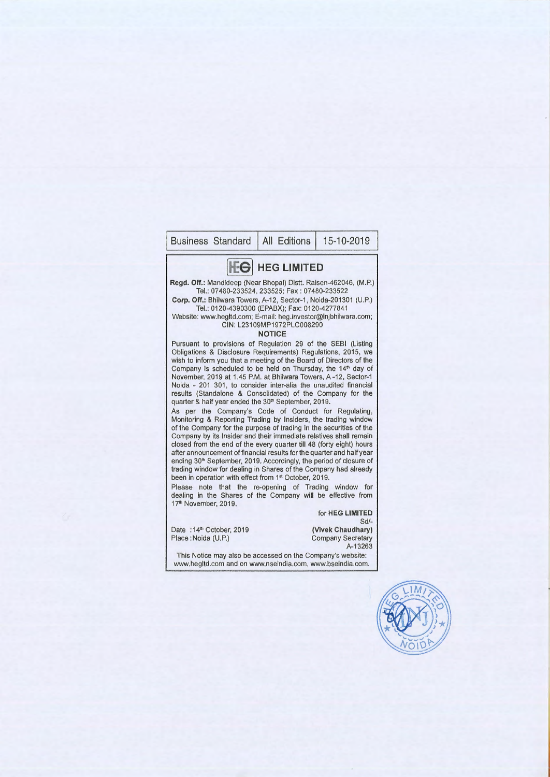## Business Standard | All Editions | 15-10-2019 **HEG LIMITED Regd. Off.:** Mandideep (Near Bhopal) Distt. Raisen-462046 , (M.P.) Tel.: 07480-233524, 233525; Fax: 07480-233522 **Corp. Off.:** Bhilwara Towers, A-12 , Sector-1, Noida-201301 (U.P.) Tel.: 0120-4390300 (EPABX); Fax: 0120-4277841 Website: www.hegltd.com; E-mail: heg.investor@lnjbhilwara.com; CIN: L23109MP1972PLC008290 **NOTICE**  Pursuant to provisions of Regulation 29 of the SEBI (Listing Obligations & Disclosure Requirements) Regulations, 2015, we wish to inform you that a meeting of the Board of Directors of the Company is scheduled to be held on Thursday, the **14th** day of November, 2019 at 1.45 P.M. at Bhilwara Towers, A-12, Sector-1 Noida - 201 301, to consider inter-alia the unaudited financial results (Standalone & Consolidated) of the Company for the quarter & half year ended the 30<sup>th</sup> September, 2019. As per the Company's Code of Conduct for Regulating, Monitoring & Reporting Trading by Insiders, the trading window of the Company for the purpose of trading in the securities of the Company by its Insider and their immediate relatives shall remain closed from the end of the every quarter till 48 (forty eight) hours after announcement of financial results for the quarter and half year ending 30<sup>th</sup> September, 2019. Accordingly, the period of closure of trading window for dealing in Shares of the Company had already been in operation with effect from 1<sup>st</sup> October, 2019. Please note that the re-opening of Trading window for dealing in the Shares of the Company will be effective from 17<sup>th</sup> November, 2019. Date : 14<sup>th</sup> October, 2019 Place: Noida (U.P.) for **HEG LIMITED**  Sd/- **(Vivek Chaudhary)**  Company Secretary A-13263 This Notice may also be accessed on the Company's website: www.hegltd.com and on www.nseindia.com, www.bseindia.com.